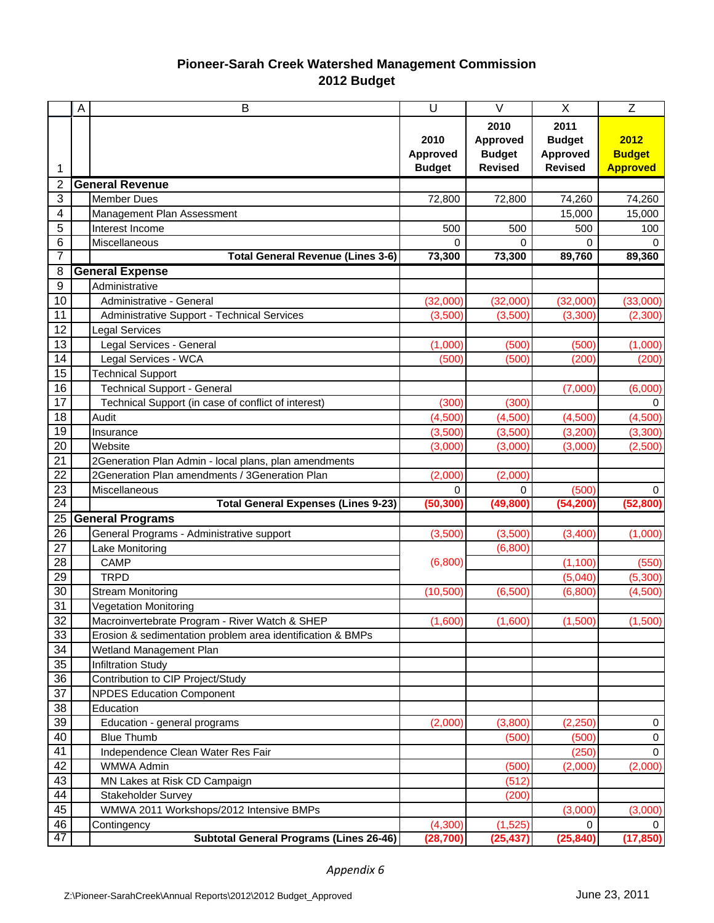## **Pioneer-Sarah Creek Watershed Management Commission 2012 Budget**

|          | A | B                                                             | U                    | $\vee$               | X              | $\mathsf{Z}$    |
|----------|---|---------------------------------------------------------------|----------------------|----------------------|----------------|-----------------|
|          |   |                                                               |                      | 2010                 | 2011           |                 |
|          |   |                                                               | 2010                 | Approved             | <b>Budget</b>  | 2012            |
|          |   |                                                               | Approved             | <b>Budget</b>        | Approved       | <b>Budget</b>   |
| 1        |   |                                                               | <b>Budget</b>        | <b>Revised</b>       | <b>Revised</b> | <b>Approved</b> |
| 2        |   | <b>General Revenue</b>                                        |                      |                      |                |                 |
| 3        |   | Member Dues                                                   | 72,800               | 72,800               | 74,260         | 74,260          |
| 4        |   | Management Plan Assessment                                    |                      |                      | 15,000         | 15,000          |
| 5        |   | Interest Income                                               | 500                  | 500                  | 500            | 100             |
| 6        |   | Miscellaneous                                                 | 0                    | 0                    | 0              | 0               |
| 7        |   | <b>Total General Revenue (Lines 3-6)</b>                      | 73,300               | 73,300               | 89,760         | 89,360          |
| 8        |   | <b>General Expense</b>                                        |                      |                      |                |                 |
| 9        |   | Administrative                                                |                      |                      |                |                 |
| 10       |   | Administrative - General                                      | (32,000)             | (32,000)             | (32,000)       | (33,000)        |
| 11       |   | Administrative Support - Technical Services                   | (3,500)              | (3,500)              | (3,300)        | (2,300)         |
| 12       |   | <b>Legal Services</b>                                         |                      |                      |                |                 |
| 13       |   | Legal Services - General                                      | (1,000)              | (500)                | (500)          | (1,000)         |
| 14       |   | Legal Services - WCA                                          | (500)                | (500)                | (200)          | (200)           |
| 15       |   | <b>Technical Support</b>                                      |                      |                      |                |                 |
| 16       |   | <b>Technical Support - General</b>                            |                      |                      | (7,000)        | (6,000)         |
| 17       |   | Technical Support (in case of conflict of interest)           | (300)                | (300)                |                | 0               |
| 18       |   | Audit                                                         | (4,500)              | (4,500)              | (4,500)        | (4,500)         |
| 19       |   | Insurance                                                     | (3,500)              | (3,500)              | (3,200)        | (3,300)         |
| 20       |   | Website                                                       | (3,000)              | (3,000)              | (3,000)        | (2,500)         |
| 21       |   | 2Generation Plan Admin - local plans, plan amendments         |                      |                      |                |                 |
| 22       |   | 2Generation Plan amendments / 3Generation Plan                | (2,000)              | (2,000)              |                |                 |
| 23       |   | Miscellaneous                                                 | 0                    | $\Omega$             | (500)          | $\mathbf 0$     |
| 24       |   | <b>Total General Expenses (Lines 9-23)</b>                    | (50, 300)            | (49, 800)            | (54, 200)      | (52, 800)       |
| 25       |   | <b>General Programs</b>                                       |                      |                      |                |                 |
| 26       |   | General Programs - Administrative support                     | (3,500)              | (3,500)              | (3,400)        | (1,000)         |
| 27       |   | Lake Monitoring                                               |                      | (6,800)              |                |                 |
| 28       |   | <b>CAMP</b>                                                   | (6,800)              |                      | (1, 100)       | (550)           |
| 29       |   | <b>TRPD</b>                                                   |                      |                      | (5,040)        | (5,300)         |
| 30       |   | <b>Stream Monitoring</b>                                      | (10, 500)            | (6,500)              | (6,800)        | (4,500)         |
| 31       |   | <b>Vegetation Monitoring</b>                                  |                      |                      |                |                 |
| 32       |   | Macroinvertebrate Program - River Watch & SHEP                | (1.600)              | (1.600)              | (1.500)        | (1.500)         |
| 33       |   | Erosion & sedimentation problem area identification & BMPs    |                      |                      |                |                 |
| 34       |   | Wetland Management Plan                                       |                      |                      |                |                 |
| 35       |   | <b>Infiltration Study</b>                                     |                      |                      |                |                 |
| 36       |   | Contribution to CIP Project/Study                             |                      |                      |                |                 |
| 37       |   | <b>NPDES Education Component</b>                              |                      |                      |                |                 |
| 38       |   | Education                                                     |                      |                      |                |                 |
| 39       |   | Education - general programs                                  | (2,000)              | (3,800)              | (2, 250)       | 0               |
| 40       |   | <b>Blue Thumb</b>                                             |                      | (500)                | (500)          | $\pmb{0}$       |
| 41       |   | Independence Clean Water Res Fair                             |                      |                      | (250)          | $\mathbf 0$     |
| 42       |   | WMWA Admin                                                    |                      | (500)                | (2,000)        | (2,000)         |
| 43       |   | MN Lakes at Risk CD Campaign                                  |                      | (512)                |                |                 |
| 44       |   | Stakeholder Survey                                            |                      | (200)                |                |                 |
| 45<br>46 |   | WMWA 2011 Workshops/2012 Intensive BMPs                       |                      |                      | (3,000)        | (3,000)         |
| 47       |   | Contingency<br><b>Subtotal General Programs (Lines 26-46)</b> | (4,300)<br>(28, 700) | (1,525)<br>(25, 437) | 0<br>(25, 840) | 0<br>(17, 850)  |
|          |   |                                                               |                      |                      |                |                 |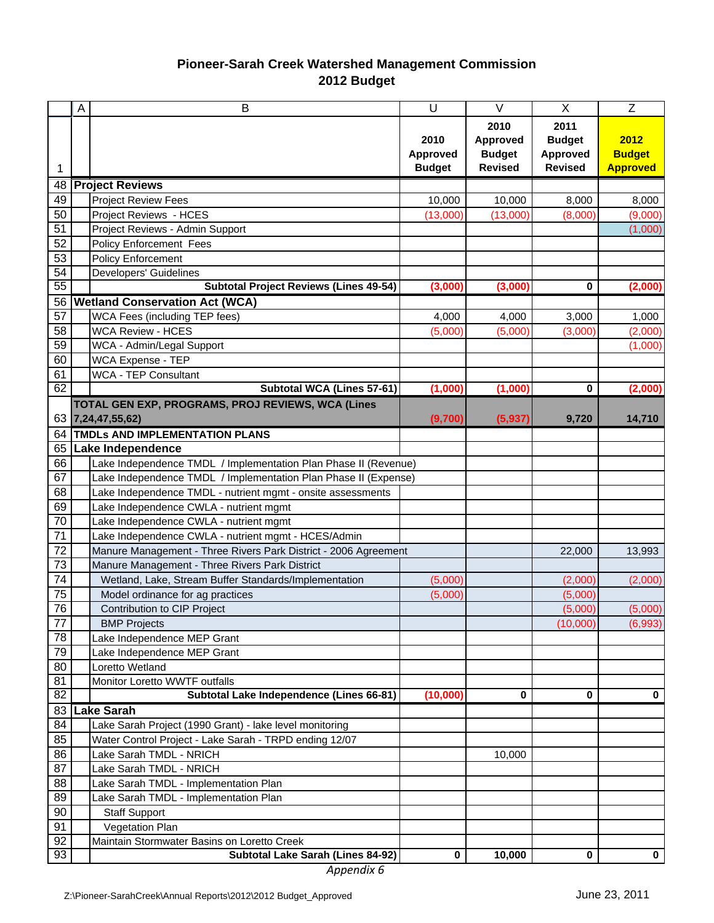## **Pioneer-Sarah Creek Watershed Management Commission 2012 Budget**

|                 | A | B                                                               | U               | $\vee$          | X              | $\mathsf{Z}$    |  |
|-----------------|---|-----------------------------------------------------------------|-----------------|-----------------|----------------|-----------------|--|
|                 |   |                                                                 |                 | 2010            | 2011           |                 |  |
|                 |   |                                                                 | 2010            | <b>Approved</b> | <b>Budget</b>  | 2012            |  |
|                 |   |                                                                 | <b>Approved</b> | <b>Budget</b>   | Approved       | <b>Budget</b>   |  |
| 1               |   |                                                                 | <b>Budget</b>   | <b>Revised</b>  | <b>Revised</b> | <b>Approved</b> |  |
| 48              |   | <b>Project Reviews</b>                                          |                 |                 |                |                 |  |
| 49              |   | <b>Project Review Fees</b>                                      | 10,000          | 10,000          | 8,000          | 8,000           |  |
| 50              |   | Project Reviews - HCES                                          | (13,000)        | (13,000)        | (8,000)        | (9,000)         |  |
| 51              |   | Project Reviews - Admin Support                                 |                 |                 |                | (1,000)         |  |
| 52              |   | <b>Policy Enforcement Fees</b>                                  |                 |                 |                |                 |  |
| 53              |   | <b>Policy Enforcement</b>                                       |                 |                 |                |                 |  |
| 54              |   | Developers' Guidelines                                          |                 |                 |                |                 |  |
| 55              |   | <b>Subtotal Project Reviews (Lines 49-54)</b>                   | (3,000)         | (3,000)         | 0              | (2,000)         |  |
| 56              |   | <b>Wetland Conservation Act (WCA)</b>                           |                 |                 |                |                 |  |
| 57              |   | <b>WCA Fees (including TEP fees)</b>                            | 4,000           | 4,000           | 3,000          | 1,000           |  |
| 58              |   | <b>WCA Review - HCES</b>                                        | (5,000)         | (5,000)         | (3,000)        | (2,000)         |  |
| 59              |   | WCA - Admin/Legal Support                                       |                 |                 |                | (1,000)         |  |
| 60              |   | <b>WCA Expense - TEP</b>                                        |                 |                 |                |                 |  |
| 61              |   | <b>WCA - TEP Consultant</b>                                     |                 |                 |                |                 |  |
| 62              |   | Subtotal WCA (Lines 57-61)                                      | (1,000)         | (1,000)         | 0              | (2,000)         |  |
|                 |   | TOTAL GEN EXP, PROGRAMS, PROJ REVIEWS, WCA (Lines               |                 |                 |                |                 |  |
| 63              |   | 7,24,47,55,62)                                                  | (9,700)         | (5, 937)        | 9,720          | 14,710          |  |
| 64              |   | TMDLs AND IMPLEMENTATION PLANS                                  |                 |                 |                |                 |  |
| 65              |   | Lake Independence                                               |                 |                 |                |                 |  |
| 66              |   | Lake Independence TMDL / Implementation Plan Phase II (Revenue) |                 |                 |                |                 |  |
| 67              |   | Lake Independence TMDL / Implementation Plan Phase II (Expense) |                 |                 |                |                 |  |
| 68              |   | Lake Independence TMDL - nutrient mgmt - onsite assessments     |                 |                 |                |                 |  |
| 69              |   | Lake Independence CWLA - nutrient mgmt                          |                 |                 |                |                 |  |
| 70              |   | Lake Independence CWLA - nutrient mgmt                          |                 |                 |                |                 |  |
| 71              |   | Lake Independence CWLA - nutrient mgmt - HCES/Admin             |                 |                 |                |                 |  |
| 72              |   | Manure Management - Three Rivers Park District - 2006 Agreement |                 |                 | 22,000         | 13,993          |  |
| 73              |   | Manure Management - Three Rivers Park District                  |                 |                 |                |                 |  |
| 74              |   | Wetland, Lake, Stream Buffer Standards/Implementation           | (5,000)         |                 | (2,000)        | (2,000)         |  |
| 75              |   | Model ordinance for ag practices                                | (5,000)         |                 | (5,000)        |                 |  |
| 76              |   | Contribution to CIP Project                                     |                 |                 | (5,000)        | (5,000)         |  |
| $\overline{77}$ |   | <b>BMP Projects</b>                                             |                 |                 | (10,000)       | (6,993)         |  |
| 78              |   | Lake Independence MEP Grant                                     |                 |                 |                |                 |  |
| 79              |   | Lake Independence MEP Grant                                     |                 |                 |                |                 |  |
| 80              |   | Loretto Wetland                                                 |                 |                 |                |                 |  |
| 81              |   | Monitor Loretto WWTF outfalls                                   |                 |                 |                |                 |  |
| 82              |   | Subtotal Lake Independence (Lines 66-81)                        | (10,000)        | 0               | 0              | 0               |  |
| 83              |   | <b>Lake Sarah</b>                                               |                 |                 |                |                 |  |
| 84              |   | Lake Sarah Project (1990 Grant) - lake level monitoring         |                 |                 |                |                 |  |
| 85              |   | Water Control Project - Lake Sarah - TRPD ending 12/07          |                 |                 |                |                 |  |
| 86              |   | Lake Sarah TMDL - NRICH                                         |                 | 10,000          |                |                 |  |
| 87              |   | Lake Sarah TMDL - NRICH                                         |                 |                 |                |                 |  |
| 88              |   | Lake Sarah TMDL - Implementation Plan                           |                 |                 |                |                 |  |
| 89              |   | Lake Sarah TMDL - Implementation Plan                           |                 |                 |                |                 |  |
| 90              |   | <b>Staff Support</b>                                            |                 |                 |                |                 |  |
| 91              |   | Vegetation Plan                                                 |                 |                 |                |                 |  |
| 92              |   | Maintain Stormwater Basins on Loretto Creek                     |                 |                 |                |                 |  |
| 93              |   | Subtotal Lake Sarah (Lines 84-92)                               | 0               | 10,000          | 0              | $\mathbf 0$     |  |

*Appendix 6*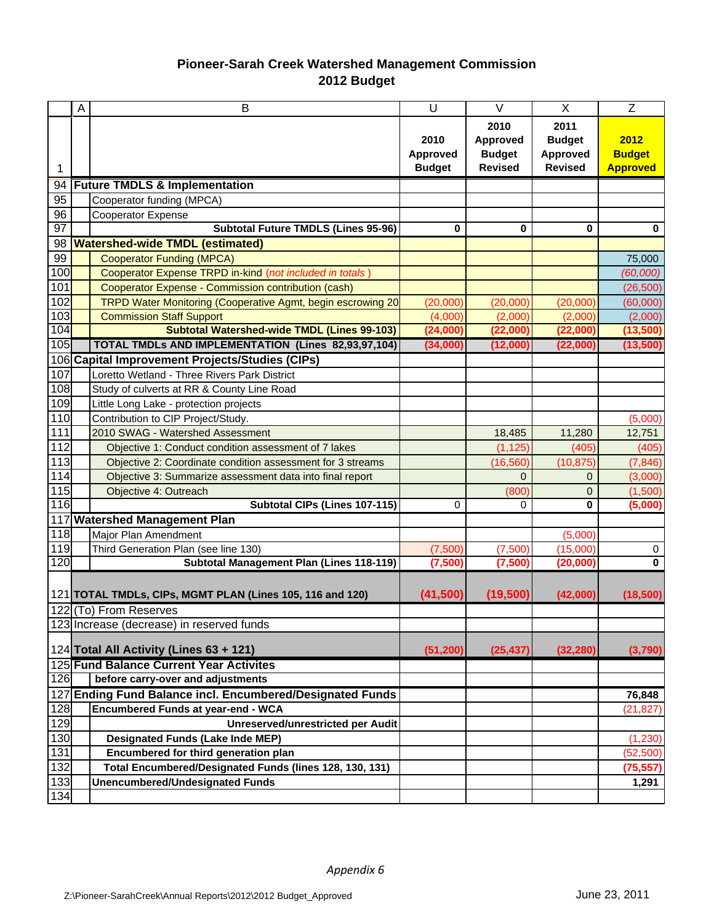## **Pioneer-Sarah Creek Watershed Management Commission 2012 Budget**

|                 | A                                                         | B                                                           | U                                 | V                                                          | X                                                          | Z                                        |
|-----------------|-----------------------------------------------------------|-------------------------------------------------------------|-----------------------------------|------------------------------------------------------------|------------------------------------------------------------|------------------------------------------|
|                 |                                                           |                                                             | 2010<br>Approved<br><b>Budget</b> | 2010<br><b>Approved</b><br><b>Budget</b><br><b>Revised</b> | 2011<br><b>Budget</b><br><b>Approved</b><br><b>Revised</b> | 2012<br><b>Budget</b><br><b>Approved</b> |
| 94              |                                                           | <b>Future TMDLS &amp; Implementation</b>                    |                                   |                                                            |                                                            |                                          |
| 95              |                                                           | Cooperator funding (MPCA)                                   |                                   |                                                            |                                                            |                                          |
| 96              |                                                           | <b>Cooperator Expense</b>                                   |                                   |                                                            |                                                            |                                          |
| $\overline{97}$ |                                                           | <b>Subtotal Future TMDLS (Lines 95-96)</b>                  | 0                                 | 0                                                          | 0                                                          | $\bf{0}$                                 |
| 98              |                                                           | <b>Watershed-wide TMDL (estimated)</b>                      |                                   |                                                            |                                                            |                                          |
| 99              |                                                           | <b>Cooperator Funding (MPCA)</b>                            |                                   |                                                            |                                                            | 75,000                                   |
| 100             |                                                           | Cooperator Expense TRPD in-kind (not included in totals)    |                                   |                                                            |                                                            | (60,000)                                 |
| 101             |                                                           | Cooperator Expense - Commission contribution (cash)         |                                   |                                                            |                                                            | (26, 500)                                |
| 102             |                                                           | TRPD Water Monitoring (Cooperative Agmt, begin escrowing 20 | (20,000)                          | (20,000)                                                   | (20,000)                                                   | (60,000)                                 |
| 103             |                                                           | <b>Commission Staff Support</b>                             | (4,000)                           | (2,000)                                                    | (2,000)                                                    | (2,000)                                  |
| 104             |                                                           | <b>Subtotal Watershed-wide TMDL (Lines 99-103)</b>          | (24,000)                          | (22,000)                                                   | (22,000)                                                   | (13,500)                                 |
| 105             |                                                           | TOTAL TMDLs AND IMPLEMENTATION (Lines 82,93,97,104)         | (34,000)                          | (12,000)                                                   | (22,000)                                                   | (13,500)                                 |
|                 |                                                           | 106 Capital Improvement Projects/Studies (CIPs)             |                                   |                                                            |                                                            |                                          |
| 107             |                                                           | Loretto Wetland - Three Rivers Park District                |                                   |                                                            |                                                            |                                          |
| 108             |                                                           | Study of culverts at RR & County Line Road                  |                                   |                                                            |                                                            |                                          |
| 109             |                                                           | Little Long Lake - protection projects                      |                                   |                                                            |                                                            |                                          |
| 110             |                                                           | Contribution to CIP Project/Study.                          |                                   |                                                            |                                                            | (5,000)                                  |
| $111$           |                                                           | 2010 SWAG - Watershed Assessment                            |                                   | 18,485                                                     | 11,280                                                     | 12,751                                   |
| 112             |                                                           | Objective 1: Conduct condition assessment of 7 lakes        |                                   | (1, 125)                                                   | (405)                                                      | (405)                                    |
| 113             |                                                           | Objective 2: Coordinate condition assessment for 3 streams  |                                   | (16, 560)                                                  | (10, 875)                                                  | (7, 846)                                 |
| 114             |                                                           | Objective 3: Summarize assessment data into final report    |                                   | $\Omega$                                                   | $\mathbf{0}$                                               | (3,000)                                  |
| 115             |                                                           | Objective 4: Outreach                                       |                                   | (800)                                                      | $\mathbf 0$                                                | (1,500)                                  |
| 116             |                                                           | Subtotal CIPs (Lines 107-115)                               | 0                                 | $\Omega$                                                   | $\bf{0}$                                                   | (5,000)                                  |
|                 |                                                           | 117 Watershed Management Plan                               |                                   |                                                            |                                                            |                                          |
| 118             |                                                           | Major Plan Amendment                                        |                                   |                                                            | (5,000)                                                    |                                          |
| 119             |                                                           | Third Generation Plan (see line 130)                        | (7,500)                           | (7,500)                                                    | (15,000)                                                   | 0                                        |
| 120             |                                                           | Subtotal Management Plan (Lines 118-119)                    | (7,500)                           | (7,500)                                                    | (20,000)                                                   | 0                                        |
|                 | 121 TOTAL TMDLs, CIPs, MGMT PLAN (Lines 105, 116 and 120) |                                                             | (41, 500)                         | (19, 500)                                                  | (42,000)                                                   | (18, 500)                                |
|                 |                                                           | 122 (To) From Reserves                                      |                                   |                                                            |                                                            |                                          |
|                 |                                                           | 123 Increase (decrease) in reserved funds                   |                                   |                                                            |                                                            |                                          |
|                 |                                                           | 124 Total All Activity (Lines 63 + 121)                     | (51, 200)                         | (25, 437)                                                  | (32, 280)                                                  | (3,790)                                  |
|                 |                                                           | 125 Fund Balance Current Year Activites                     |                                   |                                                            |                                                            |                                          |
| 126             |                                                           | before carry-over and adjustments                           |                                   |                                                            |                                                            |                                          |
|                 |                                                           | 127 Ending Fund Balance incl. Encumbered/Designated Funds   |                                   |                                                            |                                                            | 76,848                                   |
| 128             |                                                           | Encumbered Funds at year-end - WCA                          |                                   |                                                            |                                                            | (21, 827)                                |
| 129             |                                                           | <b>Unreserved/unrestricted per Audit</b>                    |                                   |                                                            |                                                            |                                          |
| 130             |                                                           | <b>Designated Funds (Lake Inde MEP)</b>                     |                                   |                                                            |                                                            | (1, 230)                                 |
| 131             |                                                           | Encumbered for third generation plan                        |                                   |                                                            |                                                            | (52, 500)                                |
| 132             |                                                           | Total Encumbered/Designated Funds (lines 128, 130, 131)     |                                   |                                                            |                                                            | (75, 557)                                |
| 133             |                                                           | <b>Unencumbered/Undesignated Funds</b>                      |                                   |                                                            |                                                            | 1,291                                    |
| 134             |                                                           |                                                             |                                   |                                                            |                                                            |                                          |